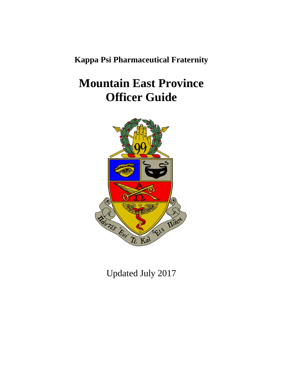**Kappa Psi Pharmaceutical Fraternity**

# **Mountain East Province Officer Guide**



Updated July 2017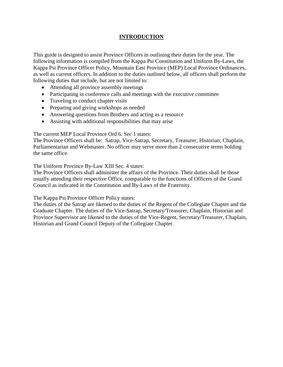### **INTRODUCTION**

This guide is designed to assist Province Officers in outlining their duties for the year. The following information is compiled from the Kappa Psi Constitution and Uniform By-Laws, the Kappa Psi Province Officer Policy, Mountain East Province (MEP) Local Province Ordinances, as well as current officers. In addition to the duties outlined below, all officers shall perform the following duties that include, but are not limited to:

- Attending all province assembly meetings
- Participating in conference calls and meetings with the executive committee
- Traveling to conduct chapter visits
- Preparing and giving workshops as needed
- Answering questions from Brothers and acting as a resource
- Assisting with additional responsibilities that may arise

The current MEP Local Province Ord 6. Sec 1 states:

The Province Officers shall be: Satrap, Vice-Satrap, Secretary, Treasurer, Historian, Chaplain, Parliamentarian and Webmaster. No officer may serve more than 2 consecutive terms holding the same office.

The Uniform Province By-Law XIII Sec. 4 states:

The Province Officers shall administer the affairs of the Province. Their duties shall be those usually attending their respective Office, comparable to the functions of Officers of the Grand Council as indicated in the Constitution and By-Laws of the Fraternity.

The Kappa Psi Province Officer Policy states:

The duties of the Satrap are likened to the duties of the Regent of the Collegiate Chapter and the Graduate Chapter. The duties of the Vice-Satrap, Secretary/Treasurer, Chaplain, Historian and Province Supervisor are likened to the duties of the Vice-Regent, Secretary/Treasurer, Chaplain, Historian and Grand Council Deputy of the Collegiate Chapter.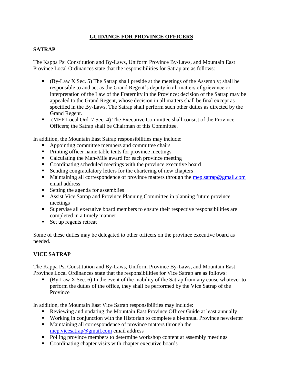### **GUIDANCE FOR PROVINCE OFFICERS**

#### **SATRAP**

The Kappa Psi Constitution and By-Laws, Uniform Province By-Laws, and Mountain East Province Local Ordinances state that the responsibilities for Satrap are as follows:

- $\bullet$  (By-Law X Sec. 5) The Satrap shall preside at the meetings of the Assembly; shall be responsible to and act as the Grand Regent's deputy in all matters of grievance or interpretation of the Law of the Fraternity in the Province; decision of the Satrap may be appealed to the Grand Regent, whose decision in all matters shall be final except as specified in the By-Laws. The Satrap shall perform such other duties as directed by the Grand Regent.
- (MEP Local Ord. 7 Sec. 4**)** The Executive Committee shall consist of the Province Officers; the Satrap shall be Chairman of this Committee.

In addition, the Mountain East Satrap responsibilities may include:

- Appointing committee members and committee chairs
- Printing officer name table tents for province meetings
- Calculating the Man-Mile award for each province meeting
- Coordinating scheduled meetings with the province executive board
- Sending congratulatory letters for the chartering of new chapters
- Maintaining all correspondence of province matters through the [mep.satrap@gmail.com](mailto:mep.satrap@gmail.com) email address
- $\blacksquare$  Setting the agenda for assemblies
- Assist Vice Satrap and Province Planning Committee in planning future province meetings
- Supervise all executive board members to ensure their respective responsibilities are completed in a timely manner
- Set up regents retreat

Some of these duties may be delegated to other officers on the province executive board as needed.

#### **VICE SATRAP**

The Kappa Psi Constitution and By-Laws, Uniform Province By-Laws, and Mountain East Province Local Ordinances state that the responsibilities for Vice Satrap are as follows:

 $\bullet$  (By-Law X Sec. 6) In the event of the inability of the Satrap from any cause whatever to perform the duties of the office, they shall be performed by the Vice Satrap of the Province

In addition, the Mountain East Vice Satrap responsibilities may include:

- Reviewing and updating the Mountain East Province Officer Guide at least annually
- Working in conjunction with the Historian to complete a bi-annual Province newsletter
- Maintaining all correspondence of province matters through the [mep.vicesatrap@gmail.com](mailto:mep.vicesatrap@gmail.com) email address
- Polling province members to determine workshop content at assembly meetings
- Coordinating chapter visits with chapter executive boards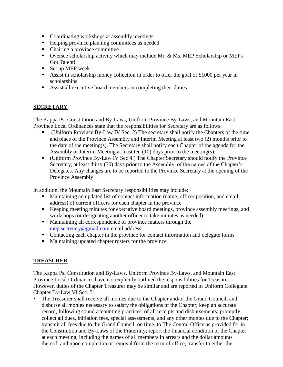- Coordinating workshops at assembly meetings
- Helping province planning committees as needed
- Chairing a province committee
- Oversee scholarship activity which may include Mr. & Ms. MEP Scholarship or MEPs Got Talent!
- $\blacksquare$  Set up MEP week
- Assist in scholarship money collection in order to offer the goal of \$1000 per year in scholarships
- Assist all executive board members in completing their duties

## **SECRETARY**

The Kappa Psi Constitution and By-Laws, Uniform Province By-Laws, and Mountain East Province Local Ordinances state that the responsibilities for Secretary are as follows:

- (Uniform Province By-Law IV Sec. 2) The secretary shall notify the Chapters of the time and place of the Province Assembly and Interim Meeting at least two (2) months prior to the date of the meeting(s). The Secretary shall notify each Chapter of the agenda for the Assembly or Interim Meeting at least ten (10) days prior to the meeting(s).
- (Uniform Province By-Law IV Sec 4.) The Chapter Secretary should notify the Province Secretary, at least thirty (30) days prior to the Assembly, of the names of the Chapter's Delegates. Any changes are to be reported to the Province Secretary at the opening of the Province Assembly

In addition, the Mountain East Secretary responsibilities may include:

- Maintaining an updated list of contact information (name, officer position, and email address) of current officers for each chapter in the province
- Keeping meeting minutes for executive board meetings, province assembly meetings, and workshops (or designating another officer to take minutes as needed)
- Maintaining all correspondence of province matters through the [mep.secretary@gmail.com](mailto:mep.secretary@gmail.com) email address
- Contacting each chapter in the province for contact information and delegate forms
- **Maintaining updated chapter rosters for the province**

# **TREASURER**

The Kappa Psi Constitution and By-Laws, Uniform Province By-Laws, and Mountain East Province Local Ordinances have not explicitly outlined the responsibilities for Treasurer. However, duties of the Chapter Treasurer may be similar and are reported in Uniform Collegiate Chapter By-Law VI Sec. 5:

 The Treasurer shall receive all monies due to the Chapter and/or the Grand Council, and disburse all monies necessary to satisfy the obligations of the Chapter; keep an accurate record, following sound accounting practices, of all receipts and disbursements; promptly collect all dues, initiation fees, special assessments, and any other monies due to the Chapter; transmit all fees due to the Grand Council, on time, to The Central Office as provided for in the Constitution and By-Laws of the Fraternity; report the financial condition of the Chapter at each meeting, including the names of all members in arrears and the dollar amounts thereof; and upon completion or removal from the term of office, transfer to either the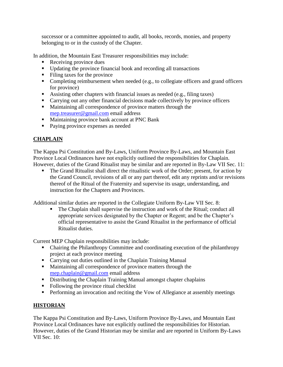successor or a committee appointed to audit, all books, records, monies, and property belonging to or in the custody of the Chapter.

In addition, the Mountain East Treasurer responsibilities may include:

- Receiving province dues
- Updating the province financial book and recording all transactions
- $\blacksquare$  Filing taxes for the province
- Completing reimbursement when needed (e.g., to collegiate officers and grand officers for province)
- Assisting other chapters with financial issues as needed (e.g., filing taxes)
- Carrying out any other financial decisions made collectively by province officers
- **Maintaining all correspondence of province matters through the** [mep.treasurer@gmail.com](mailto:mep.treasurer@gmail.com) email address
- **Maintaining province bank account at PNC Bank**
- Paying province expenses as needed

# **CHAPLAIN**

The Kappa Psi Constitution and By-Laws, Uniform Province By-Laws, and Mountain East Province Local Ordinances have not explicitly outlined the responsibilities for Chaplain. However, duties of the Grand Ritualist may be similar and are reported in By-Law VII Sec. 11:

• The Grand Ritualist shall direct the ritualistic work of the Order; present, for action by the Grand Council, revisions of all or any part thereof, edit any reprints and/or revisions thereof of the Ritual of the Fraternity and supervise its usage, understanding, and instruction for the Chapters and Provinces.

Additional similar duties are reported in the Collegiate Uniform By-Law VII Sec. 8:

The Chaplain shall supervise the instruction and work of the Ritual; conduct all appropriate services designated by the Chapter or Regent; and be the Chapter's official representative to assist the Grand Ritualist in the performance of official Ritualist duties.

Current MEP Chaplain responsibilities may include:

- Chairing the Philanthropy Committee and coordinating execution of the philanthropy project at each province meeting
- Carrying out duties outlined in the Chaplain Training Manual
- Maintaining all correspondence of province matters through the [mep.chaplain@gmail.com](mailto:mep.chaplain@gmail.com) email address
- **•** Distributing the Chaplain Training Manual amongst chapter chaplains
- Following the province ritual checklist
- **Performing an invocation and reciting the Vow of Allegiance at assembly meetings**

## **HISTORIAN**

The Kappa Psi Constitution and By-Laws, Uniform Province By-Laws, and Mountain East Province Local Ordinances have not explicitly outlined the responsibilities for Historian. However, duties of the Grand Historian may be similar and are reported in Uniform By-Laws VII Sec. 10: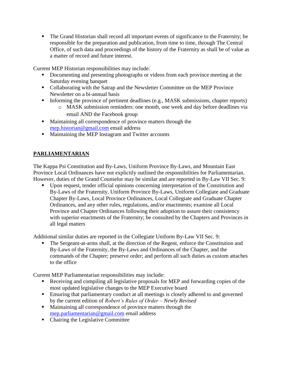The Grand Historian shall record all important events of significance to the Fraternity; be responsible for the preparation and publication, from time to time, through The Central Office, of such data and proceedings of the history of the Fraternity as shall be of value as a matter of record and future interest.

Current MEP Historian responsibilities may include:

- Documenting and presenting photographs or videos from each province meeting at the Saturday evening banquet
- Collaborating with the Satrap and the Newsletter Committee on the MEP Province Newsletter on a bi-annual basis
- Informing the province of pertinent deadlines (e.g., MASK submissions, chapter reports)
	- o MASK submission reminders: one month, one week and day before deadlines via email AND the Facebook group
- **Maintaining all correspondence of province matters through the** [mep.historian@gmail.com](mailto:mep.historian@gmail.com) email address
- **Maintaining the MEP Instagram and Twitter accounts**

# **PARLIAMENTARIAN**

The Kappa Psi Constitution and By-Laws, Uniform Province By-Laws, and Mountain East Province Local Ordinances have not explicitly outlined the responsibilities for Parliamentarian. However, duties of the Grand Counselor may be similar and are reported in By-Law VII Sec. 9:

 Upon request, tender official opinions concerning interpretation of the Constitution and By-Laws of the Fraternity, Uniform Province By-Laws, Uniform Collegiate and Graduate Chapter By-Laws, Local Province Ordinances, Local Collegiate and Graduate Chapter Ordinances, and any other rules, regulations, and/or enactments; examine all Local Province and Chapter Ordinances following their adoption to assure their consistency with superior enactments of the Fraternity; be consulted by the Chapters and Provinces in all legal matters

Additional similar duties are reported in the Collegiate Uniform By-Law VII Sec. 9:

 The Sergeant-at-arms shall, at the direction of the Regent, enforce the Constitution and By-Laws of the Fraternity, the By-Laws and Ordinances of the Chapter, and the commands of the Chapter; preserve order; and perform all such duties as custom attaches to the office

Current MEP Parliamentarian responsibilities may include:

- Receiving and compiling all legislative proposals for MEP and forwarding copies of the most updated legislative changes to the MEP Executive board
- Ensuring that parliamentary conduct at all meetings is closely adhered to and governed by the current edition of *Robert's Rules of Order – Newly Revised*
- Maintaining all correspondence of province matters through the [mep.parliamentarian@gmail.com](mailto:mep.parliamentarian@gmail.com) email address
- Chairing the Legislative Committee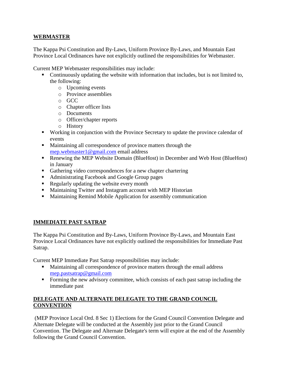#### **WEBMASTER**

The Kappa Psi Constitution and By-Laws, Uniform Province By-Laws, and Mountain East Province Local Ordinances have not explicitly outlined the responsibilities for Webmaster.

Current MEP Webmaster responsibilities may include:

- Continuously updating the website with information that includes, but is not limited to, the following:
	- o Upcoming events
	- o Province assemblies
	- o GCC
	- o Chapter officer lists
	- o Documents
	- o Officer/chapter reports
	- o History
- Working in conjunction with the Province Secretary to update the province calendar of events
- **Maintaining all correspondence of province matters through the** [mep.webmaster1@gmail.com](mailto:mep.webmaster1@gmail.com) email address
- Renewing the MEP Website Domain (BlueHost) in December and Web Host (BlueHost) in January
- Gathering video correspondences for a new chapter chartering
- Administrating Facebook and Google Group pages
- Regularly updating the website every month
- **Maintaining Twitter and Instagram account with MEP Historian**
- Maintaining Remind Mobile Application for assembly communication

## **IMMEDIATE PAST SATRAP**

The Kappa Psi Constitution and By-Laws, Uniform Province By-Laws, and Mountain East Province Local Ordinances have not explicitly outlined the responsibilities for Immediate Past Satrap.

Current MEP Immediate Past Satrap responsibilities may include:

- Maintaining all correspondence of province matters through the email address [mep.pastsatrap@gmail.com](mailto:mep.pastsatrap@gmail.com)
- Forming the new advisory committee, which consists of each past satrap including the immediate past

## **DELEGATE AND ALTERNATE DELEGATE TO THE GRAND COUNCIL CONVENTION**

(MEP Province Local Ord. 8 Sec 1) Elections for the Grand Council Convention Delegate and Alternate Delegate will be conducted at the Assembly just prior to the Grand Council Convention. The Delegate and Alternate Delegate's term will expire at the end of the Assembly following the Grand Council Convention.